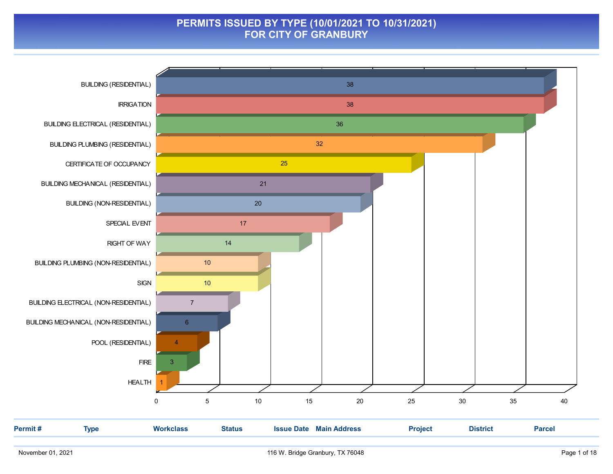### PERMITS ISSUED BY TYPE (10/01/2021 TO 10/31/2021) FOR CITY OF GRANBURY

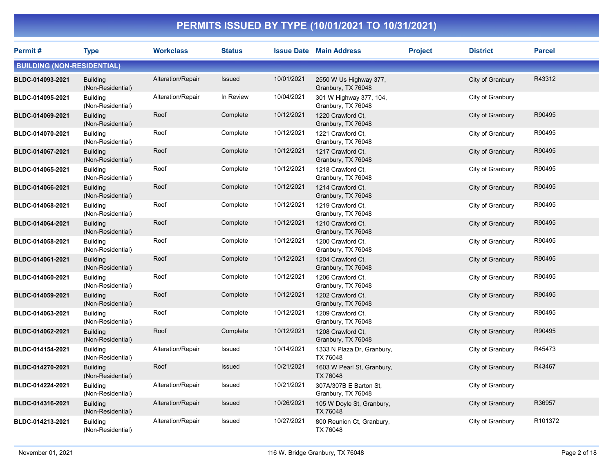| <b>Permit#</b>                    | <b>Type</b>                          | <b>Workclass</b>  | <b>Status</b> |            | <b>Issue Date Main Address</b>                | <b>Project</b> | <b>District</b>  | <b>Parcel</b> |
|-----------------------------------|--------------------------------------|-------------------|---------------|------------|-----------------------------------------------|----------------|------------------|---------------|
| <b>BUILDING (NON-RESIDENTIAL)</b> |                                      |                   |               |            |                                               |                |                  |               |
| BLDC-014093-2021                  | <b>Building</b><br>(Non-Residential) | Alteration/Repair | <b>Issued</b> | 10/01/2021 | 2550 W Us Highway 377,<br>Granbury, TX 76048  |                | City of Granbury | R43312        |
| BLDC-014095-2021                  | <b>Building</b><br>(Non-Residential) | Alteration/Repair | In Review     | 10/04/2021 | 301 W Highway 377, 104,<br>Granbury, TX 76048 |                | City of Granbury |               |
| BLDC-014069-2021                  | <b>Building</b><br>(Non-Residential) | Roof              | Complete      | 10/12/2021 | 1220 Crawford Ct.<br>Granbury, TX 76048       |                | City of Granbury | R90495        |
| BLDC-014070-2021                  | <b>Building</b><br>(Non-Residential) | Roof              | Complete      | 10/12/2021 | 1221 Crawford Ct,<br>Granbury, TX 76048       |                | City of Granbury | R90495        |
| BLDC-014067-2021                  | <b>Building</b><br>(Non-Residential) | Roof              | Complete      | 10/12/2021 | 1217 Crawford Ct,<br>Granbury, TX 76048       |                | City of Granbury | R90495        |
| BLDC-014065-2021                  | <b>Building</b><br>(Non-Residential) | Roof              | Complete      | 10/12/2021 | 1218 Crawford Ct.<br>Granbury, TX 76048       |                | City of Granbury | R90495        |
| BLDC-014066-2021                  | <b>Building</b><br>(Non-Residential) | Roof              | Complete      | 10/12/2021 | 1214 Crawford Ct.<br>Granbury, TX 76048       |                | City of Granbury | R90495        |
| BLDC-014068-2021                  | <b>Building</b><br>(Non-Residential) | Roof              | Complete      | 10/12/2021 | 1219 Crawford Ct.<br>Granbury, TX 76048       |                | City of Granbury | R90495        |
| BLDC-014064-2021                  | <b>Building</b><br>(Non-Residential) | Roof              | Complete      | 10/12/2021 | 1210 Crawford Ct.<br>Granbury, TX 76048       |                | City of Granbury | R90495        |
| BLDC-014058-2021                  | <b>Building</b><br>(Non-Residential) | Roof              | Complete      | 10/12/2021 | 1200 Crawford Ct.<br>Granbury, TX 76048       |                | City of Granbury | R90495        |
| BLDC-014061-2021                  | <b>Building</b><br>(Non-Residential) | Roof              | Complete      | 10/12/2021 | 1204 Crawford Ct.<br>Granbury, TX 76048       |                | City of Granbury | R90495        |
| BLDC-014060-2021                  | <b>Building</b><br>(Non-Residential) | Roof              | Complete      | 10/12/2021 | 1206 Crawford Ct.<br>Granbury, TX 76048       |                | City of Granbury | R90495        |
| BLDC-014059-2021                  | <b>Building</b><br>(Non-Residential) | Roof              | Complete      | 10/12/2021 | 1202 Crawford Ct.<br>Granbury, TX 76048       |                | City of Granbury | R90495        |
| BLDC-014063-2021                  | <b>Building</b><br>(Non-Residential) | Roof              | Complete      | 10/12/2021 | 1209 Crawford Ct.<br>Granbury, TX 76048       |                | City of Granbury | R90495        |
| BLDC-014062-2021                  | <b>Building</b><br>(Non-Residential) | Roof              | Complete      | 10/12/2021 | 1208 Crawford Ct,<br>Granbury, TX 76048       |                | City of Granbury | R90495        |
| BLDC-014154-2021                  | <b>Building</b><br>(Non-Residential) | Alteration/Repair | Issued        | 10/14/2021 | 1333 N Plaza Dr, Granbury,<br>TX 76048        |                | City of Granbury | R45473        |
| BLDC-014270-2021                  | <b>Building</b><br>(Non-Residential) | Roof              | Issued        | 10/21/2021 | 1603 W Pearl St, Granbury,<br>TX 76048        |                | City of Granbury | R43467        |
| BLDC-014224-2021                  | <b>Building</b><br>(Non-Residential) | Alteration/Repair | Issued        | 10/21/2021 | 307A/307B E Barton St,<br>Granbury, TX 76048  |                | City of Granbury |               |
| BLDC-014316-2021                  | <b>Building</b><br>(Non-Residential) | Alteration/Repair | Issued        | 10/26/2021 | 105 W Doyle St, Granbury,<br>TX 76048         |                | City of Granbury | R36957        |
| BLDC-014213-2021                  | <b>Building</b><br>(Non-Residential) | Alteration/Repair | Issued        | 10/27/2021 | 800 Reunion Ct, Granbury,<br>TX 76048         |                | City of Granbury | R101372       |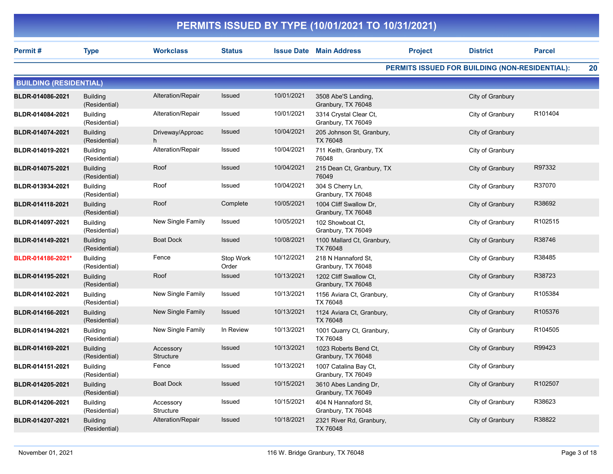| Permit#                       | <b>Type</b>                      | <b>Workclass</b>       | <b>Status</b>      |            | <b>Issue Date Main Address</b>               | <b>Project</b> | <b>District</b>                                | <b>Parcel</b> |    |
|-------------------------------|----------------------------------|------------------------|--------------------|------------|----------------------------------------------|----------------|------------------------------------------------|---------------|----|
|                               |                                  |                        |                    |            |                                              |                | PERMITS ISSUED FOR BUILDING (NON-RESIDENTIAL): |               | 20 |
| <b>BUILDING (RESIDENTIAL)</b> |                                  |                        |                    |            |                                              |                |                                                |               |    |
| BLDR-014086-2021              | <b>Building</b><br>(Residential) | Alteration/Repair      | Issued             | 10/01/2021 | 3508 Abe'S Landing,<br>Granbury, TX 76048    |                | City of Granbury                               |               |    |
| BLDR-014084-2021              | <b>Building</b><br>(Residential) | Alteration/Repair      | Issued             | 10/01/2021 | 3314 Crystal Clear Ct,<br>Granbury, TX 76049 |                | City of Granbury                               | R101404       |    |
| BLDR-014074-2021              | <b>Building</b><br>(Residential) | Driveway/Approac<br>h  | Issued             | 10/04/2021 | 205 Johnson St, Granbury,<br>TX 76048        |                | City of Granbury                               |               |    |
| BLDR-014019-2021              | <b>Building</b><br>(Residential) | Alteration/Repair      | Issued             | 10/04/2021 | 711 Keith, Granbury, TX<br>76048             |                | City of Granbury                               |               |    |
| BLDR-014075-2021              | <b>Building</b><br>(Residential) | Roof                   | Issued             | 10/04/2021 | 215 Dean Ct, Granbury, TX<br>76049           |                | City of Granbury                               | R97332        |    |
| BLDR-013934-2021              | <b>Building</b><br>(Residential) | Roof                   | Issued             | 10/04/2021 | 304 S Cherry Ln,<br>Granbury, TX 76048       |                | City of Granbury                               | R37070        |    |
| BLDR-014118-2021              | <b>Building</b><br>(Residential) | Roof                   | Complete           | 10/05/2021 | 1004 Cliff Swallow Dr,<br>Granbury, TX 76048 |                | City of Granbury                               | R38692        |    |
| BLDR-014097-2021              | <b>Building</b><br>(Residential) | New Single Family      | Issued             | 10/05/2021 | 102 Showboat Ct,<br>Granbury, TX 76049       |                | City of Granbury                               | R102515       |    |
| BLDR-014149-2021              | <b>Building</b><br>(Residential) | <b>Boat Dock</b>       | <b>Issued</b>      | 10/08/2021 | 1100 Mallard Ct, Granbury,<br>TX 76048       |                | City of Granbury                               | R38746        |    |
| BLDR-014186-2021*             | <b>Building</b><br>(Residential) | Fence                  | Stop Work<br>Order | 10/12/2021 | 218 N Hannaford St,<br>Granbury, TX 76048    |                | City of Granbury                               | R38485        |    |
| BLDR-014195-2021              | <b>Building</b><br>(Residential) | Roof                   | Issued             | 10/13/2021 | 1202 Cliff Swallow Ct,<br>Granbury, TX 76048 |                | City of Granbury                               | R38723        |    |
| BLDR-014102-2021              | <b>Building</b><br>(Residential) | New Single Family      | Issued             | 10/13/2021 | 1156 Aviara Ct, Granbury,<br>TX 76048        |                | City of Granbury                               | R105384       |    |
| BLDR-014166-2021              | <b>Building</b><br>(Residential) | New Single Family      | <b>Issued</b>      | 10/13/2021 | 1124 Aviara Ct, Granbury,<br><b>TX 76048</b> |                | City of Granbury                               | R105376       |    |
| BLDR-014194-2021              | <b>Building</b><br>(Residential) | New Single Family      | In Review          | 10/13/2021 | 1001 Quarry Ct, Granbury,<br>TX 76048        |                | City of Granbury                               | R104505       |    |
| BLDR-014169-2021              | <b>Building</b><br>(Residential) | Accessory<br>Structure | Issued             | 10/13/2021 | 1023 Roberts Bend Ct,<br>Granbury, TX 76048  |                | City of Granbury                               | R99423        |    |
| BLDR-014151-2021              | <b>Building</b><br>(Residential) | Fence                  | Issued             | 10/13/2021 | 1007 Catalina Bay Ct,<br>Granbury, TX 76049  |                | City of Granbury                               |               |    |
| BLDR-014205-2021              | <b>Building</b><br>(Residential) | <b>Boat Dock</b>       | Issued             | 10/15/2021 | 3610 Abes Landing Dr,<br>Granbury, TX 76049  |                | City of Granbury                               | R102507       |    |
| BLDR-014206-2021              | <b>Building</b><br>(Residential) | Accessory<br>Structure | Issued             | 10/15/2021 | 404 N Hannaford St,<br>Granbury, TX 76048    |                | City of Granbury                               | R38623        |    |
| BLDR-014207-2021              | <b>Building</b><br>(Residential) | Alteration/Repair      | Issued             | 10/18/2021 | 2321 River Rd, Granbury,<br>TX 76048         |                | City of Granbury                               | R38822        |    |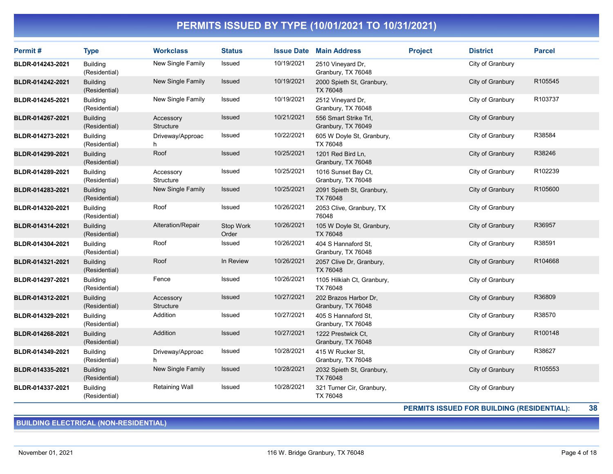| <b>Permit#</b>   | <b>Type</b>                      | <b>Workclass</b>              | <b>Status</b>      |            | <b>Issue Date Main Address</b>              | <b>Project</b> | <b>District</b>  | <b>Parcel</b> |
|------------------|----------------------------------|-------------------------------|--------------------|------------|---------------------------------------------|----------------|------------------|---------------|
| BLDR-014243-2021 | <b>Building</b><br>(Residential) | New Single Family             | Issued             | 10/19/2021 | 2510 Vineyard Dr.<br>Granbury, TX 76048     |                | City of Granbury |               |
| BLDR-014242-2021 | <b>Building</b><br>(Residential) | New Single Family             | <b>Issued</b>      | 10/19/2021 | 2000 Spieth St, Granbury,<br>TX 76048       |                | City of Granbury | R105545       |
| BLDR-014245-2021 | <b>Building</b><br>(Residential) | New Single Family             | Issued             | 10/19/2021 | 2512 Vineyard Dr,<br>Granbury, TX 76048     |                | City of Granbury | R103737       |
| BLDR-014267-2021 | <b>Building</b><br>(Residential) | Accessory<br><b>Structure</b> | Issued             | 10/21/2021 | 556 Smart Strike Trl,<br>Granbury, TX 76049 |                | City of Granbury |               |
| BLDR-014273-2021 | <b>Building</b><br>(Residential) | Driveway/Approac              | Issued             | 10/22/2021 | 605 W Doyle St, Granbury,<br>TX 76048       |                | City of Granbury | R38584        |
| BLDR-014299-2021 | <b>Building</b><br>(Residential) | Roof                          | Issued             | 10/25/2021 | 1201 Red Bird Ln,<br>Granbury, TX 76048     |                | City of Granbury | R38246        |
| BLDR-014289-2021 | <b>Building</b><br>(Residential) | Accessory<br><b>Structure</b> | Issued             | 10/25/2021 | 1016 Sunset Bay Ct.<br>Granbury, TX 76048   |                | City of Granbury | R102239       |
| BLDR-014283-2021 | <b>Building</b><br>(Residential) | New Single Family             | Issued             | 10/25/2021 | 2091 Spieth St, Granbury,<br>TX 76048       |                | City of Granbury | R105600       |
| BLDR-014320-2021 | <b>Building</b><br>(Residential) | Roof                          | Issued             | 10/26/2021 | 2053 Clive, Granbury, TX<br>76048           |                | City of Granbury |               |
| BLDR-014314-2021 | <b>Building</b><br>(Residential) | Alteration/Repair             | Stop Work<br>Order | 10/26/2021 | 105 W Doyle St, Granbury,<br>TX 76048       |                | City of Granbury | R36957        |
| BLDR-014304-2021 | <b>Building</b><br>(Residential) | Roof                          | Issued             | 10/26/2021 | 404 S Hannaford St,<br>Granbury, TX 76048   |                | City of Granbury | R38591        |
| BLDR-014321-2021 | <b>Building</b><br>(Residential) | Roof                          | In Review          | 10/26/2021 | 2057 Clive Dr, Granbury,<br>TX 76048        |                | City of Granbury | R104668       |
| BLDR-014297-2021 | <b>Building</b><br>(Residential) | Fence                         | Issued             | 10/26/2021 | 1105 Hilkiah Ct, Granbury,<br>TX 76048      |                | City of Granbury |               |
| BLDR-014312-2021 | <b>Building</b><br>(Residential) | Accessory<br><b>Structure</b> | <b>Issued</b>      | 10/27/2021 | 202 Brazos Harbor Dr.<br>Granbury, TX 76048 |                | City of Granbury | R36809        |
| BLDR-014329-2021 | <b>Building</b><br>(Residential) | Addition                      | Issued             | 10/27/2021 | 405 S Hannaford St.<br>Granbury, TX 76048   |                | City of Granbury | R38570        |
| BLDR-014268-2021 | <b>Building</b><br>(Residential) | Addition                      | <b>Issued</b>      | 10/27/2021 | 1222 Prestwick Ct.<br>Granbury, TX 76048    |                | City of Granbury | R100148       |
| BLDR-014349-2021 | <b>Building</b><br>(Residential) | Driveway/Approac<br>h         | Issued             | 10/28/2021 | 415 W Rucker St,<br>Granbury, TX 76048      |                | City of Granbury | R38627        |
| BLDR-014335-2021 | <b>Building</b><br>(Residential) | New Single Family             | Issued             | 10/28/2021 | 2032 Spieth St, Granbury,<br>TX 76048       |                | City of Granbury | R105553       |
| BLDR-014337-2021 | <b>Building</b><br>(Residential) | <b>Retaining Wall</b>         | Issued             | 10/28/2021 | 321 Turner Cir, Granbury,<br>TX 76048       |                | City of Granbury |               |

PERMITS ISSUED FOR BUILDING (RESIDENTIAL): 38

BUILDING ELECTRICAL (NON-RESIDENTIAL)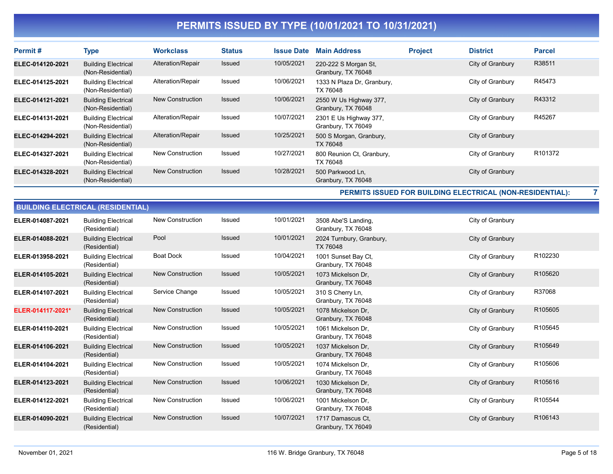| Permit#          | <b>Type</b>                                     | <b>Workclass</b>  | <b>Status</b> | <b>Issue Date</b> | <b>Main Address</b>                          | <b>Project</b> | <b>District</b>  | <b>Parcel</b>       |
|------------------|-------------------------------------------------|-------------------|---------------|-------------------|----------------------------------------------|----------------|------------------|---------------------|
| ELEC-014120-2021 | <b>Building Electrical</b><br>(Non-Residential) | Alteration/Repair | <b>Issued</b> | 10/05/2021        | 220-222 S Morgan St,<br>Granbury, TX 76048   |                | City of Granbury | R38511              |
| ELEC-014125-2021 | <b>Building Electrical</b><br>(Non-Residential) | Alteration/Repair | Issued        | 10/06/2021        | 1333 N Plaza Dr, Granbury,<br>TX 76048       |                | City of Granbury | R45473              |
| ELEC-014121-2021 | <b>Building Electrical</b><br>(Non-Residential) | New Construction  | Issued        | 10/06/2021        | 2550 W Us Highway 377,<br>Granbury, TX 76048 |                | City of Granbury | R43312              |
| ELEC-014131-2021 | <b>Building Electrical</b><br>(Non-Residential) | Alteration/Repair | Issued        | 10/07/2021        | 2301 E Us Highway 377,<br>Granbury, TX 76049 |                | City of Granbury | R45267              |
| ELEC-014294-2021 | <b>Building Electrical</b><br>(Non-Residential) | Alteration/Repair | <b>Issued</b> | 10/25/2021        | 500 S Morgan, Granbury,<br>TX 76048          |                | City of Granbury |                     |
| ELEC-014327-2021 | <b>Building Electrical</b><br>(Non-Residential) | New Construction  | Issued        | 10/27/2021        | 800 Reunion Ct, Granbury,<br>TX 76048        |                | City of Granbury | R <sub>101372</sub> |
| ELEC-014328-2021 | <b>Building Electrical</b><br>(Non-Residential) | New Construction  | <b>Issued</b> | 10/28/2021        | 500 Parkwood Ln,<br>Granbury, TX 76048       |                | City of Granbury |                     |

PERMITS ISSUED FOR BUILDING ELECTRICAL (NON-RESIDENTIAL): 7

| <b>BUILDING ELECTRICAL (RESIDENTIAL)</b> |                                             |                         |               |            |                                           |                  |         |  |  |  |  |
|------------------------------------------|---------------------------------------------|-------------------------|---------------|------------|-------------------------------------------|------------------|---------|--|--|--|--|
| ELER-014087-2021                         | <b>Building Electrical</b><br>(Residential) | <b>New Construction</b> | Issued        | 10/01/2021 | 3508 Abe'S Landing,<br>Granbury, TX 76048 | City of Granbury |         |  |  |  |  |
| ELER-014088-2021                         | <b>Building Electrical</b><br>(Residential) | Pool                    | Issued        | 10/01/2021 | 2024 Turnbury, Granbury,<br>TX 76048      | City of Granbury |         |  |  |  |  |
| ELER-013958-2021                         | <b>Building Electrical</b><br>(Residential) | <b>Boat Dock</b>        | Issued        | 10/04/2021 | 1001 Sunset Bay Ct,<br>Granbury, TX 76048 | City of Granbury | R102230 |  |  |  |  |
| ELER-014105-2021                         | <b>Building Electrical</b><br>(Residential) | <b>New Construction</b> | Issued        | 10/05/2021 | 1073 Mickelson Dr.<br>Granbury, TX 76048  | City of Granbury | R105620 |  |  |  |  |
| ELER-014107-2021                         | <b>Building Electrical</b><br>(Residential) | Service Change          | Issued        | 10/05/2021 | 310 S Cherry Ln,<br>Granbury, TX 76048    | City of Granbury | R37068  |  |  |  |  |
| ELER-014117-2021*                        | <b>Building Electrical</b><br>(Residential) | <b>New Construction</b> | <b>Issued</b> | 10/05/2021 | 1078 Mickelson Dr.<br>Granbury, TX 76048  | City of Granbury | R105605 |  |  |  |  |
| ELER-014110-2021                         | <b>Building Electrical</b><br>(Residential) | <b>New Construction</b> | Issued        | 10/05/2021 | 1061 Mickelson Dr,<br>Granbury, TX 76048  | City of Granbury | R105645 |  |  |  |  |
| ELER-014106-2021                         | <b>Building Electrical</b><br>(Residential) | <b>New Construction</b> | <b>Issued</b> | 10/05/2021 | 1037 Mickelson Dr.<br>Granbury, TX 76048  | City of Granbury | R105649 |  |  |  |  |
| ELER-014104-2021                         | <b>Building Electrical</b><br>(Residential) | <b>New Construction</b> | Issued        | 10/05/2021 | 1074 Mickelson Dr.<br>Granbury, TX 76048  | City of Granbury | R105606 |  |  |  |  |
| ELER-014123-2021                         | <b>Building Electrical</b><br>(Residential) | <b>New Construction</b> | Issued        | 10/06/2021 | 1030 Mickelson Dr.<br>Granbury, TX 76048  | City of Granbury | R105616 |  |  |  |  |
| ELER-014122-2021                         | <b>Building Electrical</b><br>(Residential) | <b>New Construction</b> | Issued        | 10/06/2021 | 1001 Mickelson Dr.<br>Granbury, TX 76048  | City of Granbury | R105544 |  |  |  |  |
| ELER-014090-2021                         | <b>Building Electrical</b><br>(Residential) | <b>New Construction</b> | Issued        | 10/07/2021 | 1717 Damascus Ct.<br>Granbury, TX 76049   | City of Granbury | R106143 |  |  |  |  |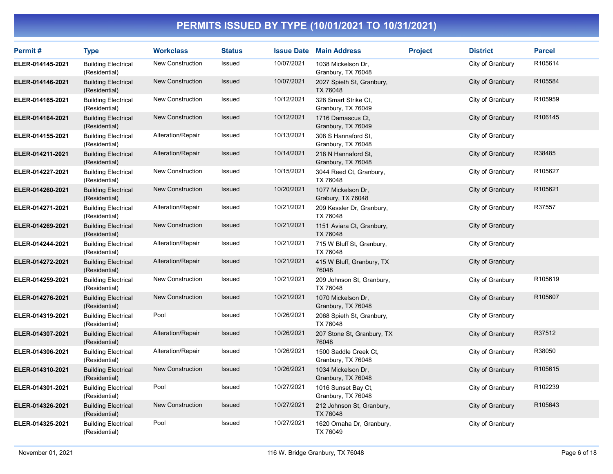| Permit#          | <b>Type</b>                                 | <b>Workclass</b>        | <b>Status</b> |            | <b>Issue Date Main Address</b>              | <b>Project</b> | <b>District</b>  | <b>Parcel</b> |
|------------------|---------------------------------------------|-------------------------|---------------|------------|---------------------------------------------|----------------|------------------|---------------|
| ELER-014145-2021 | <b>Building Electrical</b><br>(Residential) | New Construction        | Issued        | 10/07/2021 | 1038 Mickelson Dr.<br>Granbury, TX 76048    |                | City of Granbury | R105614       |
| ELER-014146-2021 | <b>Building Electrical</b><br>(Residential) | <b>New Construction</b> | Issued        | 10/07/2021 | 2027 Spieth St, Granbury,<br>TX 76048       |                | City of Granbury | R105584       |
| ELER-014165-2021 | <b>Building Electrical</b><br>(Residential) | New Construction        | Issued        | 10/12/2021 | 328 Smart Strike Ct,<br>Granbury, TX 76049  |                | City of Granbury | R105959       |
| ELER-014164-2021 | <b>Building Electrical</b><br>(Residential) | New Construction        | Issued        | 10/12/2021 | 1716 Damascus Ct.<br>Granbury, TX 76049     |                | City of Granbury | R106145       |
| ELER-014155-2021 | <b>Building Electrical</b><br>(Residential) | Alteration/Repair       | Issued        | 10/13/2021 | 308 S Hannaford St.<br>Granbury, TX 76048   |                | City of Granbury |               |
| ELER-014211-2021 | <b>Building Electrical</b><br>(Residential) | Alteration/Repair       | Issued        | 10/14/2021 | 218 N Hannaford St,<br>Granbury, TX 76048   |                | City of Granbury | R38485        |
| ELER-014227-2021 | <b>Building Electrical</b><br>(Residential) | <b>New Construction</b> | Issued        | 10/15/2021 | 3044 Reed Ct, Granbury,<br>TX 76048         |                | City of Granbury | R105627       |
| ELER-014260-2021 | <b>Building Electrical</b><br>(Residential) | <b>New Construction</b> | Issued        | 10/20/2021 | 1077 Mickelson Dr,<br>Grabury, TX 76048     |                | City of Granbury | R105621       |
| ELER-014271-2021 | <b>Building Electrical</b><br>(Residential) | Alteration/Repair       | Issued        | 10/21/2021 | 209 Kessler Dr, Granbury,<br>TX 76048       |                | City of Granbury | R37557        |
| ELER-014269-2021 | <b>Building Electrical</b><br>(Residential) | New Construction        | Issued        | 10/21/2021 | 1151 Aviara Ct, Granbury,<br>TX 76048       |                | City of Granbury |               |
| ELER-014244-2021 | <b>Building Electrical</b><br>(Residential) | Alteration/Repair       | Issued        | 10/21/2021 | 715 W Bluff St, Granbury,<br>TX 76048       |                | City of Granbury |               |
| ELER-014272-2021 | <b>Building Electrical</b><br>(Residential) | Alteration/Repair       | Issued        | 10/21/2021 | 415 W Bluff, Granbury, TX<br>76048          |                | City of Granbury |               |
| ELER-014259-2021 | <b>Building Electrical</b><br>(Residential) | <b>New Construction</b> | Issued        | 10/21/2021 | 209 Johnson St, Granbury,<br>TX 76048       |                | City of Granbury | R105619       |
| ELER-014276-2021 | <b>Building Electrical</b><br>(Residential) | New Construction        | <b>Issued</b> | 10/21/2021 | 1070 Mickelson Dr,<br>Granbury, TX 76048    |                | City of Granbury | R105607       |
| ELER-014319-2021 | <b>Building Electrical</b><br>(Residential) | Pool                    | Issued        | 10/26/2021 | 2068 Spieth St, Granbury,<br>TX 76048       |                | City of Granbury |               |
| ELER-014307-2021 | <b>Building Electrical</b><br>(Residential) | Alteration/Repair       | <b>Issued</b> | 10/26/2021 | 207 Stone St, Granbury, TX<br>76048         |                | City of Granbury | R37512        |
| ELER-014306-2021 | <b>Building Electrical</b><br>(Residential) | Alteration/Repair       | Issued        | 10/26/2021 | 1500 Saddle Creek Ct,<br>Granbury, TX 76048 |                | City of Granbury | R38050        |
| ELER-014310-2021 | <b>Building Electrical</b><br>(Residential) | <b>New Construction</b> | <b>Issued</b> | 10/26/2021 | 1034 Mickelson Dr.<br>Granbury, TX 76048    |                | City of Granbury | R105615       |
| ELER-014301-2021 | <b>Building Electrical</b><br>(Residential) | Pool                    | Issued        | 10/27/2021 | 1016 Sunset Bay Ct,<br>Granbury, TX 76048   |                | City of Granbury | R102239       |
| ELER-014326-2021 | <b>Building Electrical</b><br>(Residential) | New Construction        | Issued        | 10/27/2021 | 212 Johnson St, Granbury,<br>TX 76048       |                | City of Granbury | R105643       |
| ELER-014325-2021 | <b>Building Electrical</b><br>(Residential) | Pool                    | Issued        | 10/27/2021 | 1620 Omaha Dr, Granbury,<br>TX 76049        |                | City of Granbury |               |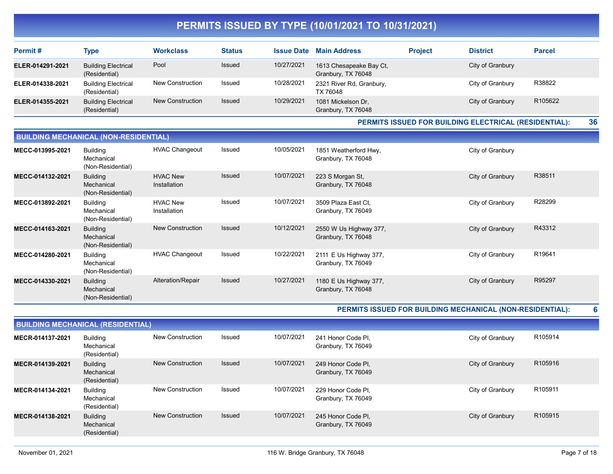| Permit#          | <b>Type</b>                                 | <b>Workclass</b> | <b>Status</b> | <b>Issue Date</b> | <b>Main Address</b>                           | <b>Project</b> | <b>District</b>  | <b>Parcel</b>       |
|------------------|---------------------------------------------|------------------|---------------|-------------------|-----------------------------------------------|----------------|------------------|---------------------|
| ELER-014291-2021 | <b>Building Electrical</b><br>(Residential) | Pool             | <b>Issued</b> | 10/27/2021        | 1613 Chesapeake Bay Ct,<br>Granbury, TX 76048 |                | City of Granbury |                     |
| ELER-014338-2021 | <b>Building Electrical</b><br>(Residential) | New Construction | Issued        | 10/28/2021        | 2321 River Rd, Granbury,<br>TX 76048          |                | City of Granbury | R38822              |
| ELER-014355-2021 | <b>Building Electrical</b><br>(Residential) | New Construction | <b>Issued</b> | 10/29/2021        | 1081 Mickelson Dr.<br>Granbury, TX 76048      |                | City of Granbury | R <sub>105622</sub> |

PERMITS ISSUED FOR BUILDING ELECTRICAL (RESIDENTIAL): 36

| <b>BUILDING MECHANICAL (NON-RESIDENTIAL)</b> |                                                    |                                 |               |            |                                              |                  |        |  |  |  |
|----------------------------------------------|----------------------------------------------------|---------------------------------|---------------|------------|----------------------------------------------|------------------|--------|--|--|--|
| MECC-013995-2021                             | <b>Building</b><br>Mechanical<br>(Non-Residential) | <b>HVAC Changeout</b>           | Issued        | 10/05/2021 | 1851 Weatherford Hwy,<br>Granbury, TX 76048  | City of Granbury |        |  |  |  |
| MECC-014132-2021                             | <b>Building</b><br>Mechanical<br>(Non-Residential) | <b>HVAC New</b><br>Installation | <b>Issued</b> | 10/07/2021 | 223 S Morgan St,<br>Granbury, TX 76048       | City of Granbury | R38511 |  |  |  |
| MECC-013892-2021                             | Building<br>Mechanical<br>(Non-Residential)        | <b>HVAC New</b><br>Installation | Issued        | 10/07/2021 | 3509 Plaza East Ct,<br>Granbury, TX 76049    | City of Granbury | R28299 |  |  |  |
| MECC-014163-2021                             | <b>Building</b><br>Mechanical<br>(Non-Residential) | New Construction                | Issued        | 10/12/2021 | 2550 W Us Highway 377,<br>Granbury, TX 76048 | City of Granbury | R43312 |  |  |  |
| MECC-014280-2021                             | <b>Building</b><br>Mechanical<br>(Non-Residential) | <b>HVAC Changeout</b>           | Issued        | 10/22/2021 | 2111 E Us Highway 377,<br>Granbury, TX 76049 | City of Granbury | R19641 |  |  |  |
| MECC-014330-2021                             | <b>Building</b><br>Mechanical<br>(Non-Residential) | Alteration/Repair               | <b>Issued</b> | 10/27/2021 | 1180 E Us Highway 377,<br>Granbury, TX 76048 | City of Granbury | R95297 |  |  |  |

#### PERMITS ISSUED FOR BUILDING MECHANICAL (NON-RESIDENTIAL): 6

| <b>BUILDING MECHANICAL (RESIDENTIAL)</b> |                                                |                         |        |            |                                          |                  |         |  |  |  |
|------------------------------------------|------------------------------------------------|-------------------------|--------|------------|------------------------------------------|------------------|---------|--|--|--|
| MECR-014137-2021                         | <b>Building</b><br>Mechanical<br>(Residential) | New Construction        | Issued | 10/07/2021 | 241 Honor Code PI.<br>Granbury, TX 76049 | City of Granbury | R105914 |  |  |  |
| MECR-014139-2021                         | <b>Building</b><br>Mechanical<br>(Residential) | <b>New Construction</b> | Issued | 10/07/2021 | 249 Honor Code PI.<br>Granbury, TX 76049 | City of Granbury | R105916 |  |  |  |
| MECR-014134-2021                         | <b>Building</b><br>Mechanical<br>(Residential) | <b>New Construction</b> | Issued | 10/07/2021 | 229 Honor Code PI,<br>Granbury, TX 76049 | City of Granbury | R105911 |  |  |  |
| MECR-014138-2021                         | <b>Building</b><br>Mechanical<br>(Residential) | <b>New Construction</b> | Issued | 10/07/2021 | 245 Honor Code PI,<br>Granbury, TX 76049 | City of Granbury | R105915 |  |  |  |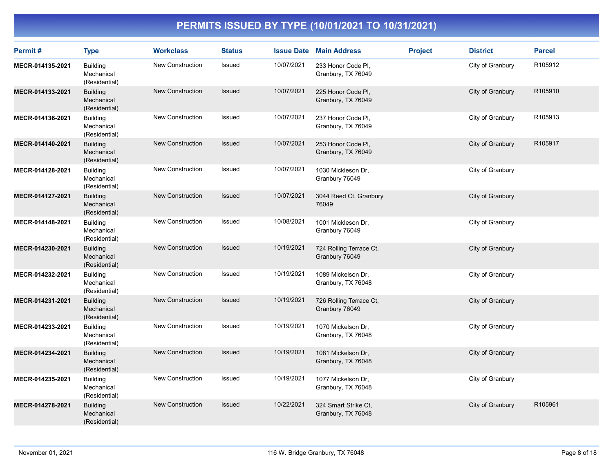| Permit#          | <b>Type</b>                                    | <b>Workclass</b>        | <b>Status</b> |            | <b>Issue Date Main Address</b>             | <b>Project</b> | <b>District</b>  | <b>Parcel</b> |
|------------------|------------------------------------------------|-------------------------|---------------|------------|--------------------------------------------|----------------|------------------|---------------|
| MECR-014135-2021 | <b>Building</b><br>Mechanical<br>(Residential) | <b>New Construction</b> | Issued        | 10/07/2021 | 233 Honor Code Pl,<br>Granbury, TX 76049   |                | City of Granbury | R105912       |
| MECR-014133-2021 | <b>Building</b><br>Mechanical<br>(Residential) | <b>New Construction</b> | <b>Issued</b> | 10/07/2021 | 225 Honor Code PI,<br>Granbury, TX 76049   |                | City of Granbury | R105910       |
| MECR-014136-2021 | <b>Building</b><br>Mechanical<br>(Residential) | <b>New Construction</b> | Issued        | 10/07/2021 | 237 Honor Code PI,<br>Granbury, TX 76049   |                | City of Granbury | R105913       |
| MECR-014140-2021 | <b>Building</b><br>Mechanical<br>(Residential) | <b>New Construction</b> | Issued        | 10/07/2021 | 253 Honor Code Pl,<br>Granbury, TX 76049   |                | City of Granbury | R105917       |
| MECR-014128-2021 | <b>Building</b><br>Mechanical<br>(Residential) | <b>New Construction</b> | Issued        | 10/07/2021 | 1030 Mickleson Dr.<br>Granbury 76049       |                | City of Granbury |               |
| MECR-014127-2021 | <b>Building</b><br>Mechanical<br>(Residential) | <b>New Construction</b> | <b>Issued</b> | 10/07/2021 | 3044 Reed Ct, Granbury<br>76049            |                | City of Granbury |               |
| MECR-014148-2021 | <b>Building</b><br>Mechanical<br>(Residential) | <b>New Construction</b> | Issued        | 10/08/2021 | 1001 Mickleson Dr,<br>Granbury 76049       |                | City of Granbury |               |
| MECR-014230-2021 | <b>Building</b><br>Mechanical<br>(Residential) | <b>New Construction</b> | <b>Issued</b> | 10/19/2021 | 724 Rolling Terrace Ct,<br>Granbury 76049  |                | City of Granbury |               |
| MECR-014232-2021 | <b>Building</b><br>Mechanical<br>(Residential) | <b>New Construction</b> | Issued        | 10/19/2021 | 1089 Mickelson Dr,<br>Granbury, TX 76048   |                | City of Granbury |               |
| MECR-014231-2021 | <b>Building</b><br>Mechanical<br>(Residential) | <b>New Construction</b> | <b>Issued</b> | 10/19/2021 | 726 Rolling Terrace Ct,<br>Granbury 76049  |                | City of Granbury |               |
| MECR-014233-2021 | <b>Building</b><br>Mechanical<br>(Residential) | <b>New Construction</b> | Issued        | 10/19/2021 | 1070 Mickelson Dr,<br>Granbury, TX 76048   |                | City of Granbury |               |
| MECR-014234-2021 | <b>Building</b><br>Mechanical<br>(Residential) | <b>New Construction</b> | Issued        | 10/19/2021 | 1081 Mickelson Dr,<br>Granbury, TX 76048   |                | City of Granbury |               |
| MECR-014235-2021 | <b>Building</b><br>Mechanical<br>(Residential) | <b>New Construction</b> | Issued        | 10/19/2021 | 1077 Mickelson Dr.<br>Granbury, TX 76048   |                | City of Granbury |               |
| MECR-014278-2021 | <b>Building</b><br>Mechanical<br>(Residential) | <b>New Construction</b> | <b>Issued</b> | 10/22/2021 | 324 Smart Strike Ct,<br>Granbury, TX 76048 |                | City of Granbury | R105961       |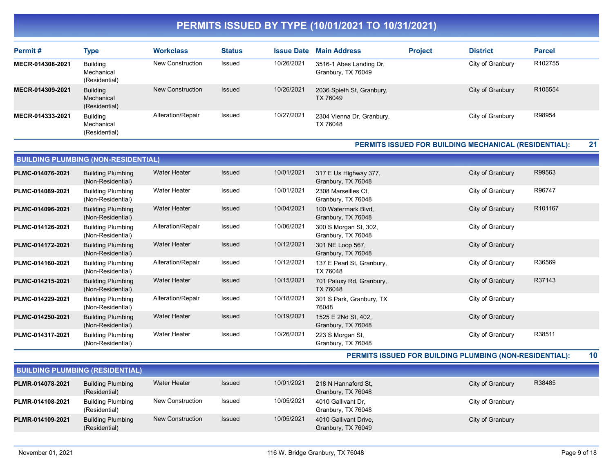| Permit#          | Type                                           | <b>Workclass</b>  | <b>Status</b> | <b>Issue Date</b> | <b>Main Address</b>                           | <b>Project</b> | <b>District</b>  | <b>Parcel</b> |
|------------------|------------------------------------------------|-------------------|---------------|-------------------|-----------------------------------------------|----------------|------------------|---------------|
| MECR-014308-2021 | Buildina<br>Mechanical<br>(Residential)        | New Construction  | Issued        | 10/26/2021        | 3516-1 Abes Landing Dr,<br>Granbury, TX 76049 |                | City of Granbury | R102755       |
| MECR-014309-2021 | <b>Building</b><br>Mechanical<br>(Residential) | New Construction  | <b>Issued</b> | 10/26/2021        | 2036 Spieth St, Granbury,<br>TX 76049         |                | City of Granbury | R105554       |
| MECR-014333-2021 | <b>Building</b><br>Mechanical<br>(Residential) | Alteration/Repair | Issued        | 10/27/2021        | 2304 Vienna Dr. Granbury.<br>TX 76048         |                | City of Granbury | R98954        |

#### PERMITS ISSUED FOR BUILDING MECHANICAL (RESIDENTIAL): 21

| <b>BUILDING PLUMBING (NON-RESIDENTIAL)</b> |                                               |                     |               |            |                                             |                  |         |  |  |  |
|--------------------------------------------|-----------------------------------------------|---------------------|---------------|------------|---------------------------------------------|------------------|---------|--|--|--|
| PLMC-014076-2021                           | <b>Building Plumbing</b><br>(Non-Residential) | <b>Water Heater</b> | <b>Issued</b> | 10/01/2021 | 317 E Us Highway 377,<br>Granbury, TX 76048 | City of Granbury | R99563  |  |  |  |
| PLMC-014089-2021                           | <b>Building Plumbing</b><br>(Non-Residential) | <b>Water Heater</b> | Issued        | 10/01/2021 | 2308 Marseilles Ct.<br>Granbury, TX 76048   | City of Granbury | R96747  |  |  |  |
| PLMC-014096-2021                           | <b>Building Plumbing</b><br>(Non-Residential) | <b>Water Heater</b> | Issued        | 10/04/2021 | 100 Watermark Blvd,<br>Granbury, TX 76048   | City of Granbury | R101167 |  |  |  |
| PLMC-014126-2021                           | <b>Building Plumbing</b><br>(Non-Residential) | Alteration/Repair   | Issued        | 10/06/2021 | 300 S Morgan St, 302,<br>Granbury, TX 76048 | City of Granbury |         |  |  |  |
| PLMC-014172-2021                           | <b>Building Plumbing</b><br>(Non-Residential) | <b>Water Heater</b> | Issued        | 10/12/2021 | 301 NE Loop 567,<br>Granbury, TX 76048      | City of Granbury |         |  |  |  |
| PLMC-014160-2021                           | <b>Building Plumbing</b><br>(Non-Residential) | Alteration/Repair   | Issued        | 10/12/2021 | 137 E Pearl St, Granbury,<br>TX 76048       | City of Granbury | R36569  |  |  |  |
| PLMC-014215-2021                           | <b>Building Plumbing</b><br>(Non-Residential) | <b>Water Heater</b> | <b>Issued</b> | 10/15/2021 | 701 Paluxy Rd, Granbury,<br>TX 76048        | City of Granbury | R37143  |  |  |  |
| PLMC-014229-2021                           | <b>Building Plumbing</b><br>(Non-Residential) | Alteration/Repair   | Issued        | 10/18/2021 | 301 S Park, Granbury, TX<br>76048           | City of Granbury |         |  |  |  |
| PLMC-014250-2021                           | <b>Building Plumbing</b><br>(Non-Residential) | <b>Water Heater</b> | <b>Issued</b> | 10/19/2021 | 1525 E 2Nd St, 402,<br>Granbury, TX 76048   | City of Granbury |         |  |  |  |
| PLMC-014317-2021                           | <b>Building Plumbing</b><br>(Non-Residential) | <b>Water Heater</b> | Issued        | 10/26/2021 | 223 S Morgan St,<br>Granbury, TX 76048      | City of Granbury | R38511  |  |  |  |

PERMITS ISSUED FOR BUILDING PLUMBING (NON-RESIDENTIAL): 10

|                  | <b>BUILDING PLUMBING (RESIDENTIAL)</b>    |                         |        |            |                                             |                  |        |  |  |  |  |  |
|------------------|-------------------------------------------|-------------------------|--------|------------|---------------------------------------------|------------------|--------|--|--|--|--|--|
| PLMR-014078-2021 | <b>Building Plumbing</b><br>(Residential) | Water Heater            | Issued | 10/01/2021 | 218 N Hannaford St.<br>Granbury, TX 76048   | City of Granbury | R38485 |  |  |  |  |  |
| PLMR-014108-2021 | <b>Building Plumbing</b><br>(Residential) | New Construction        | Issued | 10/05/2021 | 4010 Gallivant Dr.<br>Granbury, TX 76048    | City of Granbury |        |  |  |  |  |  |
| PLMR-014109-2021 | <b>Building Plumbing</b><br>(Residential) | <b>New Construction</b> | Issued | 10/05/2021 | 4010 Gallivant Drive,<br>Granbury, TX 76049 | City of Granbury |        |  |  |  |  |  |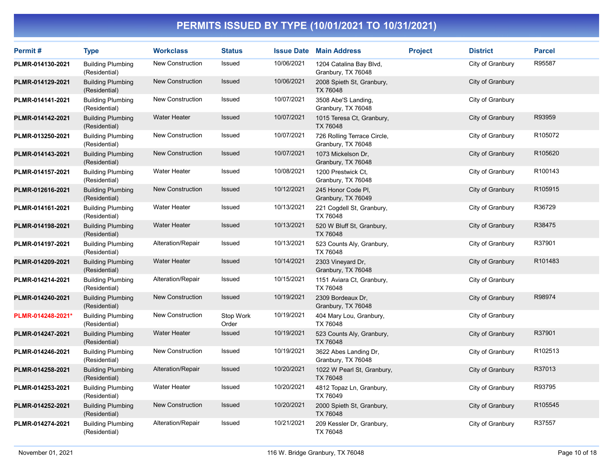| Permit#           | <b>Type</b>                               | <b>Workclass</b>        | <b>Status</b>      | <b>Issue Date</b> | <b>Main Address</b>                               | <b>Project</b> | <b>District</b>  | <b>Parcel</b> |
|-------------------|-------------------------------------------|-------------------------|--------------------|-------------------|---------------------------------------------------|----------------|------------------|---------------|
| PLMR-014130-2021  | <b>Building Plumbing</b><br>(Residential) | <b>New Construction</b> | Issued             | 10/06/2021        | 1204 Catalina Bay Blvd,<br>Granbury, TX 76048     |                | City of Granbury | R95587        |
| PLMR-014129-2021  | <b>Building Plumbing</b><br>(Residential) | <b>New Construction</b> | Issued             | 10/06/2021        | 2008 Spieth St, Granbury,<br>TX 76048             |                | City of Granbury |               |
| PLMR-014141-2021  | <b>Building Plumbing</b><br>(Residential) | New Construction        | Issued             | 10/07/2021        | 3508 Abe'S Landing,<br>Granbury, TX 76048         |                | City of Granbury |               |
| PLMR-014142-2021  | <b>Building Plumbing</b><br>(Residential) | <b>Water Heater</b>     | <b>Issued</b>      | 10/07/2021        | 1015 Teresa Ct, Granbury,<br>TX 76048             |                | City of Granbury | R93959        |
| PLMR-013250-2021  | <b>Building Plumbing</b><br>(Residential) | New Construction        | Issued             | 10/07/2021        | 726 Rolling Terrace Circle,<br>Granbury, TX 76048 |                | City of Granbury | R105072       |
| PLMR-014143-2021  | <b>Building Plumbing</b><br>(Residential) | <b>New Construction</b> | Issued             | 10/07/2021        | 1073 Mickelson Dr.<br>Granbury, TX 76048          |                | City of Granbury | R105620       |
| PLMR-014157-2021  | <b>Building Plumbing</b><br>(Residential) | <b>Water Heater</b>     | Issued             | 10/08/2021        | 1200 Prestwick Ct,<br>Granbury, TX 76048          |                | City of Granbury | R100143       |
| PLMR-012616-2021  | <b>Building Plumbing</b><br>(Residential) | New Construction        | Issued             | 10/12/2021        | 245 Honor Code PI.<br>Granbury, TX 76049          |                | City of Granbury | R105915       |
| PLMR-014161-2021  | <b>Building Plumbing</b><br>(Residential) | <b>Water Heater</b>     | Issued             | 10/13/2021        | 221 Cogdell St, Granbury,<br>TX 76048             |                | City of Granbury | R36729        |
| PLMR-014198-2021  | <b>Building Plumbing</b><br>(Residential) | <b>Water Heater</b>     | Issued             | 10/13/2021        | 520 W Bluff St, Granbury,<br>TX 76048             |                | City of Granbury | R38475        |
| PLMR-014197-2021  | <b>Building Plumbing</b><br>(Residential) | Alteration/Repair       | Issued             | 10/13/2021        | 523 Counts Aly, Granbury,<br>TX 76048             |                | City of Granbury | R37901        |
| PLMR-014209-2021  | <b>Building Plumbing</b><br>(Residential) | <b>Water Heater</b>     | <b>Issued</b>      | 10/14/2021        | 2303 Vineyard Dr.<br>Granbury, TX 76048           |                | City of Granbury | R101483       |
| PLMR-014214-2021  | <b>Building Plumbing</b><br>(Residential) | Alteration/Repair       | Issued             | 10/15/2021        | 1151 Aviara Ct, Granbury,<br>TX 76048             |                | City of Granbury |               |
| PLMR-014240-2021  | <b>Building Plumbing</b><br>(Residential) | <b>New Construction</b> | Issued             | 10/19/2021        | 2309 Bordeaux Dr,<br>Granbury, TX 76048           |                | City of Granbury | R98974        |
| PLMR-014248-2021* | <b>Building Plumbing</b><br>(Residential) | <b>New Construction</b> | Stop Work<br>Order | 10/19/2021        | 404 Mary Lou, Granbury,<br>TX 76048               |                | City of Granbury |               |
| PLMR-014247-2021  | <b>Building Plumbing</b><br>(Residential) | <b>Water Heater</b>     | Issued             | 10/19/2021        | 523 Counts Aly, Granbury,<br>TX 76048             |                | City of Granbury | R37901        |
| PLMR-014246-2021  | <b>Building Plumbing</b><br>(Residential) | New Construction        | Issued             | 10/19/2021        | 3622 Abes Landing Dr,<br>Granbury, TX 76048       |                | City of Granbury | R102513       |
| PLMR-014258-2021  | <b>Building Plumbing</b><br>(Residential) | Alteration/Repair       | <b>Issued</b>      | 10/20/2021        | 1022 W Pearl St, Granbury,<br>TX 76048            |                | City of Granbury | R37013        |
| PLMR-014253-2021  | <b>Building Plumbing</b><br>(Residential) | <b>Water Heater</b>     | Issued             | 10/20/2021        | 4812 Topaz Ln, Granbury,<br>TX 76049              |                | City of Granbury | R93795        |
| PLMR-014252-2021  | <b>Building Plumbing</b><br>(Residential) | <b>New Construction</b> | Issued             | 10/20/2021        | 2000 Spieth St, Granbury,<br><b>TX 76048</b>      |                | City of Granbury | R105545       |
| PLMR-014274-2021  | <b>Building Plumbing</b><br>(Residential) | Alteration/Repair       | Issued             | 10/21/2021        | 209 Kessler Dr, Granbury,<br>TX 76048             |                | City of Granbury | R37557        |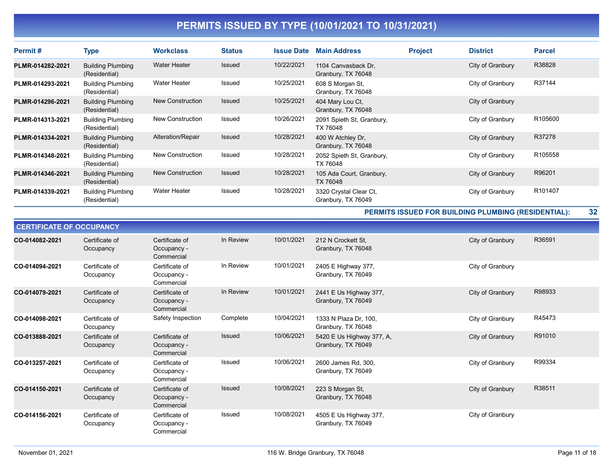| Permit#          | <b>Type</b>                               | <b>Workclass</b>    | <b>Status</b> | <b>Issue Date</b> | <b>Main Address</b>                          | <b>Project</b> | <b>District</b>  | <b>Parcel</b> |
|------------------|-------------------------------------------|---------------------|---------------|-------------------|----------------------------------------------|----------------|------------------|---------------|
| PLMR-014282-2021 | <b>Building Plumbing</b><br>(Residential) | <b>Water Heater</b> | <b>Issued</b> | 10/22/2021        | 1104 Canvasback Dr.<br>Granbury, TX 76048    |                | City of Granbury | R38828        |
| PLMR-014293-2021 | <b>Building Plumbing</b><br>(Residential) | <b>Water Heater</b> | Issued        | 10/25/2021        | 608 S Morgan St,<br>Granbury, TX 76048       |                | City of Granbury | R37144        |
| PLMR-014296-2021 | <b>Building Plumbing</b><br>(Residential) | New Construction    | <b>Issued</b> | 10/25/2021        | 404 Mary Lou Ct,<br>Granbury, TX 76048       |                | City of Granbury |               |
| PLMR-014313-2021 | <b>Building Plumbing</b><br>(Residential) | New Construction    | Issued        | 10/26/2021        | 2091 Spieth St, Granbury,<br>TX 76048        |                | City of Granbury | R105600       |
| PLMR-014334-2021 | <b>Building Plumbing</b><br>(Residential) | Alteration/Repair   | <b>Issued</b> | 10/28/2021        | 400 W Atchley Dr.<br>Granbury, TX 76048      |                | City of Granbury | R37278        |
| PLMR-014348-2021 | <b>Building Plumbing</b><br>(Residential) | New Construction    | Issued        | 10/28/2021        | 2052 Spieth St, Granbury,<br>TX 76048        |                | City of Granbury | R105558       |
| PLMR-014346-2021 | <b>Building Plumbing</b><br>(Residential) | New Construction    | <b>Issued</b> | 10/28/2021        | 105 Ada Court, Granbury,<br>TX 76048         |                | City of Granbury | R96201        |
| PLMR-014339-2021 | <b>Building Plumbing</b><br>(Residential) | <b>Water Heater</b> | Issued        | 10/28/2021        | 3320 Crystal Clear Ct.<br>Granbury, TX 76049 |                | City of Granbury | R101407       |

PERMITS ISSUED FOR BUILDING PLUMBING (RESIDENTIAL): 32

| <b>CERTIFICATE OF OCCUPANCY</b> |                             |                                             |               |            |                                                 |                  |        |  |  |  |
|---------------------------------|-----------------------------|---------------------------------------------|---------------|------------|-------------------------------------------------|------------------|--------|--|--|--|
| CO-014082-2021                  | Certificate of<br>Occupancy | Certificate of<br>Occupancy -<br>Commercial | In Review     | 10/01/2021 | 212 N Crockett St.<br>Granbury, TX 76048        | City of Granbury | R36591 |  |  |  |
| CO-014094-2021                  | Certificate of<br>Occupancy | Certificate of<br>Occupancy -<br>Commercial | In Review     | 10/01/2021 | 2405 E Highway 377,<br>Granbury, TX 76049       | City of Granbury |        |  |  |  |
| CO-014079-2021                  | Certificate of<br>Occupancy | Certificate of<br>Occupancy -<br>Commercial | In Review     | 10/01/2021 | 2441 E Us Highway 377,<br>Granbury, TX 76049    | City of Granbury | R98933 |  |  |  |
| CO-014098-2021                  | Certificate of<br>Occupancy | Safety Inspection                           | Complete      | 10/04/2021 | 1333 N Plaza Dr, 100,<br>Granbury, TX 76048     | City of Granbury | R45473 |  |  |  |
| CO-013888-2021                  | Certificate of<br>Occupancy | Certificate of<br>Occupancy -<br>Commercial | <b>Issued</b> | 10/06/2021 | 5420 E Us Highway 377, A,<br>Granbury, TX 76049 | City of Granbury | R91010 |  |  |  |
| CO-013257-2021                  | Certificate of<br>Occupancy | Certificate of<br>Occupancy -<br>Commercial | <b>Issued</b> | 10/06/2021 | 2600 James Rd, 300,<br>Granbury, TX 76049       | City of Granbury | R99334 |  |  |  |
| CO-014150-2021                  | Certificate of<br>Occupancy | Certificate of<br>Occupancy -<br>Commercial | <b>Issued</b> | 10/08/2021 | 223 S Morgan St,<br>Granbury, TX 76048          | City of Granbury | R38511 |  |  |  |
| CO-014156-2021                  | Certificate of<br>Occupancy | Certificate of<br>Occupancy -<br>Commercial | <b>Issued</b> | 10/08/2021 | 4505 E Us Highway 377,<br>Granbury, TX 76049    | City of Granbury |        |  |  |  |

Ξ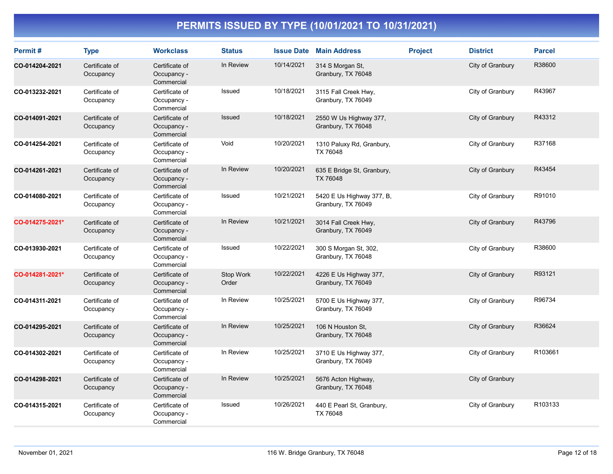| Permit#         | <b>Type</b>                 | <b>Workclass</b>                            | <b>Status</b>      |            | <b>Issue Date Main Address</b>                  | <b>Project</b> | <b>District</b>  | <b>Parcel</b> |
|-----------------|-----------------------------|---------------------------------------------|--------------------|------------|-------------------------------------------------|----------------|------------------|---------------|
| CO-014204-2021  | Certificate of<br>Occupancy | Certificate of<br>Occupancy -<br>Commercial | In Review          | 10/14/2021 | 314 S Morgan St,<br>Granbury, TX 76048          |                | City of Granbury | R38600        |
| CO-013232-2021  | Certificate of<br>Occupancy | Certificate of<br>Occupancy -<br>Commercial | Issued             | 10/18/2021 | 3115 Fall Creek Hwy,<br>Granbury, TX 76049      |                | City of Granbury | R43967        |
| CO-014091-2021  | Certificate of<br>Occupancy | Certificate of<br>Occupancy -<br>Commercial | Issued             | 10/18/2021 | 2550 W Us Highway 377,<br>Granbury, TX 76048    |                | City of Granbury | R43312        |
| CO-014254-2021  | Certificate of<br>Occupancy | Certificate of<br>Occupancy -<br>Commercial | Void               | 10/20/2021 | 1310 Paluxy Rd, Granbury,<br>TX 76048           |                | City of Granbury | R37168        |
| CO-014261-2021  | Certificate of<br>Occupancy | Certificate of<br>Occupancy -<br>Commercial | In Review          | 10/20/2021 | 635 E Bridge St, Granbury,<br>TX 76048          |                | City of Granbury | R43454        |
| CO-014080-2021  | Certificate of<br>Occupancy | Certificate of<br>Occupancy -<br>Commercial | Issued             | 10/21/2021 | 5420 E Us Highway 377, B,<br>Granbury, TX 76049 |                | City of Granbury | R91010        |
| CO-014275-2021* | Certificate of<br>Occupancy | Certificate of<br>Occupancy -<br>Commercial | In Review          | 10/21/2021 | 3014 Fall Creek Hwy,<br>Granbury, TX 76049      |                | City of Granbury | R43796        |
| CO-013930-2021  | Certificate of<br>Occupancy | Certificate of<br>Occupancy -<br>Commercial | Issued             | 10/22/2021 | 300 S Morgan St, 302,<br>Granbury, TX 76048     |                | City of Granbury | R38600        |
| CO-014281-2021* | Certificate of<br>Occupancy | Certificate of<br>Occupancy -<br>Commercial | Stop Work<br>Order | 10/22/2021 | 4226 E Us Highway 377,<br>Granbury, TX 76049    |                | City of Granbury | R93121        |
| CO-014311-2021  | Certificate of<br>Occupancy | Certificate of<br>Occupancy -<br>Commercial | In Review          | 10/25/2021 | 5700 E Us Highway 377,<br>Granbury, TX 76049    |                | City of Granbury | R96734        |
| CO-014295-2021  | Certificate of<br>Occupancy | Certificate of<br>Occupancy -<br>Commercial | In Review          | 10/25/2021 | 106 N Houston St.<br>Granbury, TX 76048         |                | City of Granbury | R36624        |
| CO-014302-2021  | Certificate of<br>Occupancy | Certificate of<br>Occupancy -<br>Commercial | In Review          | 10/25/2021 | 3710 E Us Highway 377,<br>Granbury, TX 76049    |                | City of Granbury | R103661       |
| CO-014298-2021  | Certificate of<br>Occupancy | Certificate of<br>Occupancy -<br>Commercial | In Review          | 10/25/2021 | 5676 Acton Highway,<br>Granbury, TX 76048       |                | City of Granbury |               |
| CO-014315-2021  | Certificate of<br>Occupancy | Certificate of<br>Occupancy -<br>Commercial | Issued             | 10/26/2021 | 440 E Pearl St, Granbury,<br>TX 76048           |                | City of Granbury | R103133       |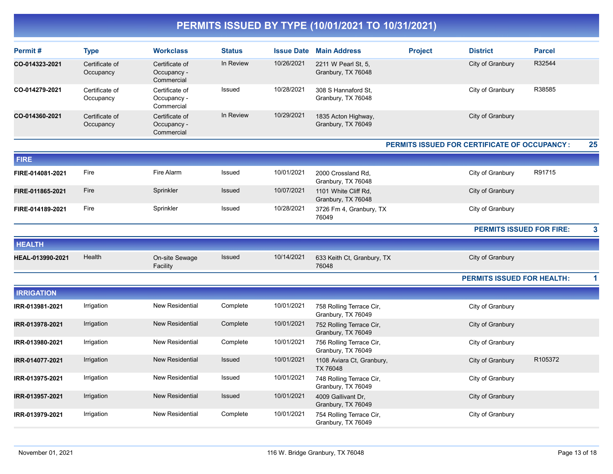| Permit#           | <b>Type</b>                 | <b>Workclass</b>                            | <b>Status</b> | <b>Issue Date</b> | <b>Main Address</b>                            | <b>Project</b> | <b>District</b>                              | <b>Parcel</b> |    |
|-------------------|-----------------------------|---------------------------------------------|---------------|-------------------|------------------------------------------------|----------------|----------------------------------------------|---------------|----|
| CO-014323-2021    | Certificate of<br>Occupancy | Certificate of<br>Occupancy -<br>Commercial | In Review     | 10/26/2021        | 2211 W Pearl St, 5,<br>Granbury, TX 76048      |                | City of Granbury                             | R32544        |    |
| CO-014279-2021    | Certificate of<br>Occupancy | Certificate of<br>Occupancy -<br>Commercial | Issued        | 10/28/2021        | 308 S Hannaford St.<br>Granbury, TX 76048      |                | City of Granbury                             | R38585        |    |
| CO-014360-2021    | Certificate of<br>Occupancy | Certificate of<br>Occupancy -<br>Commercial | In Review     | 10/29/2021        | 1835 Acton Highway,<br>Granbury, TX 76049      |                | City of Granbury                             |               |    |
|                   |                             |                                             |               |                   |                                                |                | PERMITS ISSUED FOR CERTIFICATE OF OCCUPANCY: |               | 25 |
| <b>FIRE</b>       |                             |                                             |               |                   |                                                |                |                                              |               |    |
| FIRE-014081-2021  | Fire                        | Fire Alarm                                  | Issued        | 10/01/2021        | 2000 Crossland Rd,<br>Granbury, TX 76048       |                | City of Granbury                             | R91715        |    |
| FIRE-011865-2021  | Fire                        | Sprinkler                                   | Issued        | 10/07/2021        | 1101 White Cliff Rd,<br>Granbury, TX 76048     |                | City of Granbury                             |               |    |
| FIRE-014189-2021  | Fire                        | Sprinkler                                   | Issued        | 10/28/2021        | 3726 Fm 4, Granbury, TX<br>76049               |                | City of Granbury                             |               |    |
|                   |                             |                                             |               |                   |                                                |                | <b>PERMITS ISSUED FOR FIRE:</b>              |               | 3  |
| <b>HEALTH</b>     |                             |                                             |               |                   |                                                |                |                                              |               |    |
| HEAL-013990-2021  | Health                      | On-site Sewage<br>Facility                  | Issued        | 10/14/2021        | 633 Keith Ct, Granbury, TX<br>76048            |                | City of Granbury                             |               |    |
|                   |                             |                                             |               |                   |                                                |                | <b>PERMITS ISSUED FOR HEALTH:</b>            |               | 1  |
| <b>IRRIGATION</b> |                             |                                             |               |                   |                                                |                |                                              |               |    |
| IRR-013981-2021   | Irrigation                  | New Residential                             | Complete      | 10/01/2021        | 758 Rolling Terrace Cir,<br>Granbury, TX 76049 |                | City of Granbury                             |               |    |
| IRR-013978-2021   | Irrigation                  | New Residential                             | Complete      | 10/01/2021        | 752 Rolling Terrace Cir,<br>Granbury, TX 76049 |                | City of Granbury                             |               |    |
| IRR-013980-2021   | Irrigation                  | New Residential                             | Complete      | 10/01/2021        | 756 Rolling Terrace Cir,<br>Granbury, TX 76049 |                | City of Granbury                             |               |    |
| IRR-014077-2021   | Irrigation                  | <b>New Residential</b>                      | Issued        | 10/01/2021        | 1108 Aviara Ct, Granbury,<br>TX 76048          |                | City of Granbury                             | R105372       |    |
| IRR-013975-2021   | Irrigation                  | New Residential                             | Issued        | 10/01/2021        | 748 Rolling Terrace Cir,<br>Granbury, TX 76049 |                | City of Granbury                             |               |    |
| IRR-013957-2021   | Irrigation                  | <b>New Residential</b>                      | Issued        | 10/01/2021        | 4009 Gallivant Dr.<br>Granbury, TX 76049       |                | City of Granbury                             |               |    |
| IRR-013979-2021   | Irrigation                  | New Residential                             | Complete      | 10/01/2021        | 754 Rolling Terrace Cir,<br>Granbury, TX 76049 |                | City of Granbury                             |               |    |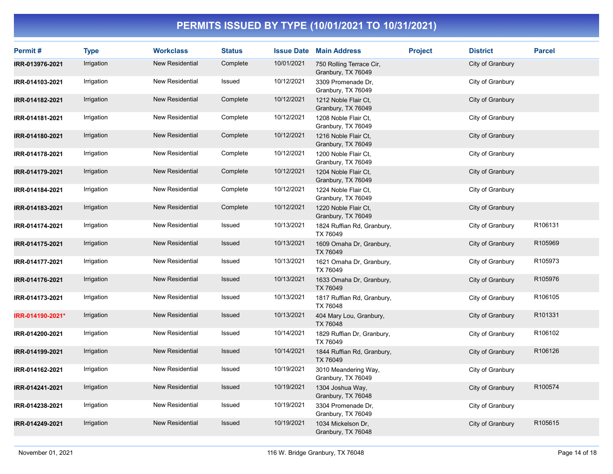| Permit#          | <b>Type</b> | <b>Workclass</b>       | <b>Status</b> |            | <b>Issue Date Main Address</b>                 | <b>Project</b> | <b>District</b>  | <b>Parcel</b> |
|------------------|-------------|------------------------|---------------|------------|------------------------------------------------|----------------|------------------|---------------|
| IRR-013976-2021  | Irrigation  | <b>New Residential</b> | Complete      | 10/01/2021 | 750 Rolling Terrace Cir,<br>Granbury, TX 76049 |                | City of Granbury |               |
| IRR-014103-2021  | Irrigation  | New Residential        | Issued        | 10/12/2021 | 3309 Promenade Dr.<br>Granbury, TX 76049       |                | City of Granbury |               |
| IRR-014182-2021  | Irrigation  | <b>New Residential</b> | Complete      | 10/12/2021 | 1212 Noble Flair Ct,<br>Granbury, TX 76049     |                | City of Granbury |               |
| IRR-014181-2021  | Irrigation  | New Residential        | Complete      | 10/12/2021 | 1208 Noble Flair Ct,<br>Granbury, TX 76049     |                | City of Granbury |               |
| IRR-014180-2021  | Irrigation  | <b>New Residential</b> | Complete      | 10/12/2021 | 1216 Noble Flair Ct,<br>Granbury, TX 76049     |                | City of Granbury |               |
| IRR-014178-2021  | Irrigation  | New Residential        | Complete      | 10/12/2021 | 1200 Noble Flair Ct,<br>Granbury, TX 76049     |                | City of Granbury |               |
| IRR-014179-2021  | Irrigation  | <b>New Residential</b> | Complete      | 10/12/2021 | 1204 Noble Flair Ct.<br>Granbury, TX 76049     |                | City of Granbury |               |
| IRR-014184-2021  | Irrigation  | New Residential        | Complete      | 10/12/2021 | 1224 Noble Flair Ct.<br>Granbury, TX 76049     |                | City of Granbury |               |
| IRR-014183-2021  | Irrigation  | New Residential        | Complete      | 10/12/2021 | 1220 Noble Flair Ct.<br>Granbury, TX 76049     |                | City of Granbury |               |
| IRR-014174-2021  | Irrigation  | <b>New Residential</b> | Issued        | 10/13/2021 | 1824 Ruffian Rd, Granbury,<br>TX 76049         |                | City of Granbury | R106131       |
| IRR-014175-2021  | Irrigation  | New Residential        | <b>Issued</b> | 10/13/2021 | 1609 Omaha Dr, Granbury,<br>TX 76049           |                | City of Granbury | R105969       |
| IRR-014177-2021  | Irrigation  | <b>New Residential</b> | Issued        | 10/13/2021 | 1621 Omaha Dr, Granbury,<br>TX 76049           |                | City of Granbury | R105973       |
| IRR-014176-2021  | Irrigation  | <b>New Residential</b> | Issued        | 10/13/2021 | 1633 Omaha Dr, Granbury,<br>TX 76049           |                | City of Granbury | R105976       |
| IRR-014173-2021  | Irrigation  | New Residential        | Issued        | 10/13/2021 | 1817 Ruffian Rd, Granbury,<br>TX 76048         |                | City of Granbury | R106105       |
| IRR-014190-2021* | Irrigation  | <b>New Residential</b> | Issued        | 10/13/2021 | 404 Mary Lou, Granbury,<br>TX 76048            |                | City of Granbury | R101331       |
| IRR-014200-2021  | Irrigation  | <b>New Residential</b> | Issued        | 10/14/2021 | 1829 Ruffian Dr, Granbury,<br>TX 76049         |                | City of Granbury | R106102       |
| IRR-014199-2021  | Irrigation  | New Residential        | Issued        | 10/14/2021 | 1844 Ruffian Rd, Granbury,<br>TX 76049         |                | City of Granbury | R106126       |
| IRR-014162-2021  | Irrigation  | <b>New Residential</b> | Issued        | 10/19/2021 | 3010 Meandering Way,<br>Granbury, TX 76049     |                | City of Granbury |               |
| IRR-014241-2021  | Irrigation  | New Residential        | Issued        | 10/19/2021 | 1304 Joshua Way,<br>Granbury, TX 76048         |                | City of Granbury | R100574       |
| IRR-014238-2021  | Irrigation  | <b>New Residential</b> | Issued        | 10/19/2021 | 3304 Promenade Dr.<br>Granbury, TX 76049       |                | City of Granbury |               |
| IRR-014249-2021  | Irrigation  | <b>New Residential</b> | <b>Issued</b> | 10/19/2021 | 1034 Mickelson Dr,<br>Granbury, TX 76048       |                | City of Granbury | R105615       |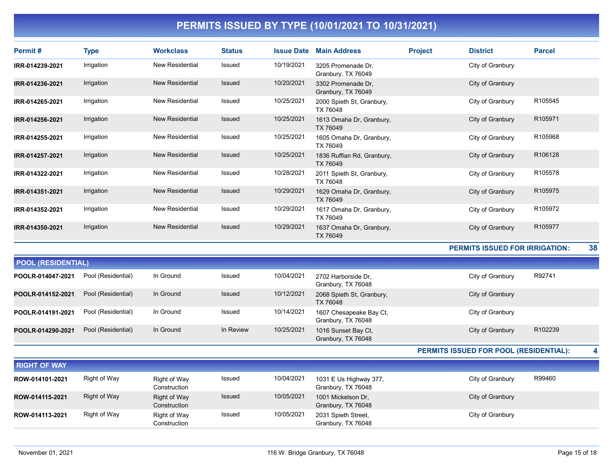| Permit#           | Type       | <b>Workclass</b>       | <b>Status</b> | <b>Issue Date</b> | <b>Main Address</b>                      | <b>Project</b> | <b>District</b>                       | <b>Parcel</b> |
|-------------------|------------|------------------------|---------------|-------------------|------------------------------------------|----------------|---------------------------------------|---------------|
| IRR-014239-2021   | Irrigation | <b>New Residential</b> | Issued        | 10/19/2021        | 3205 Promenade Dr.<br>Granbury, TX 76049 |                | City of Granbury                      |               |
| IRR-014236-2021   | Irrigation | <b>New Residential</b> | <b>Issued</b> | 10/20/2021        | 3302 Promenade Dr.<br>Granbury, TX 76049 |                | City of Granbury                      |               |
| IRR-014265-2021   | Irrigation | <b>New Residential</b> | Issued        | 10/25/2021        | 2000 Spieth St, Granbury,<br>TX 76048    |                | City of Granbury                      | R105545       |
| IRR-014256-2021   | Irrigation | <b>New Residential</b> | <b>Issued</b> | 10/25/2021        | 1613 Omaha Dr, Granbury,<br>TX 76049     |                | City of Granbury                      | R105971       |
| IRR-014255-2021   | Irrigation | <b>New Residential</b> | Issued        | 10/25/2021        | 1605 Omaha Dr, Granbury,<br>TX 76049     |                | City of Granbury                      | R105968       |
| IRR-014257-2021   | Irrigation | <b>New Residential</b> | <b>Issued</b> | 10/25/2021        | 1836 Ruffian Rd, Granbury,<br>TX 76049   |                | City of Granbury                      | R106128       |
| IRR-014322-2021   | Irrigation | <b>New Residential</b> | Issued        | 10/28/2021        | 2011 Spieth St, Granbury,<br>TX 76048    |                | City of Granbury                      | R105578       |
| IRR-014351-2021   | Irrigation | <b>New Residential</b> | Issued        | 10/29/2021        | 1629 Omaha Dr, Granbury,<br>TX 76049     |                | City of Granbury                      | R105975       |
| IRR-014352-2021   | Irrigation | <b>New Residential</b> | <b>Issued</b> | 10/29/2021        | 1617 Omaha Dr, Granbury,<br>TX 76049     |                | City of Granbury                      | R105972       |
| IRR-014350-2021   | Irrigation | <b>New Residential</b> | Issued        | 10/29/2021        | 1637 Omaha Dr, Granbury,<br>TX 76049     |                | City of Granbury                      | R105977       |
|                   |            |                        |               |                   |                                          |                | <b>PERMITS ISSUED FOR IRRIGATION:</b> | 38            |
| BAAL IBPAIRPUPLLU |            |                        |               |                   |                                          |                |                                       |               |

| <b>POOL (RESIDENTIAL)</b> |                    |           |               |            |                                               |                  |         |  |  |  |
|---------------------------|--------------------|-----------|---------------|------------|-----------------------------------------------|------------------|---------|--|--|--|
| POOLR-014047-2021         | Pool (Residential) | In Ground | Issued        | 10/04/2021 | 2702 Harborside Dr.<br>Granbury, TX 76048     | City of Granbury | R92741  |  |  |  |
| POOLR-014152-2021         | Pool (Residential) | In Ground | <b>Issued</b> | 10/12/2021 | 2068 Spieth St, Granbury,<br>TX 76048         | City of Granbury |         |  |  |  |
| POOLR-014191-2021         | Pool (Residential) | In Ground | Issued        | 10/14/2021 | 1607 Chesapeake Bay Ct,<br>Granbury, TX 76048 | City of Granbury |         |  |  |  |
| POOLR-014290-2021         | Pool (Residential) | In Ground | In Review     | 10/25/2021 | 1016 Sunset Bay Ct,<br>Granbury, TX 76048     | City of Granbury | R102239 |  |  |  |

PERMITS ISSUED FOR POOL (RESIDENTIAL): 4

| <b>RIGHT OF WAY</b> |              |                              |        |            |                                              |                  |        |
|---------------------|--------------|------------------------------|--------|------------|----------------------------------------------|------------------|--------|
| ROW-014101-2021     | Right of Way | Right of Way<br>Construction | Issued | 10/04/2021 | 1031 E Us Highway 377,<br>Granbury, TX 76048 | City of Granbury | R99460 |
| ROW-014115-2021     | Right of Way | Right of Way<br>Construction | Issued | 10/05/2021 | 1001 Mickelson Dr.<br>Granbury, TX 76048     | City of Granbury |        |
| ROW-014113-2021     | Right of Way | Right of Way<br>Construction | Issued | 10/05/2021 | 2031 Spieth Street,<br>Granbury, TX 76048    | City of Granbury |        |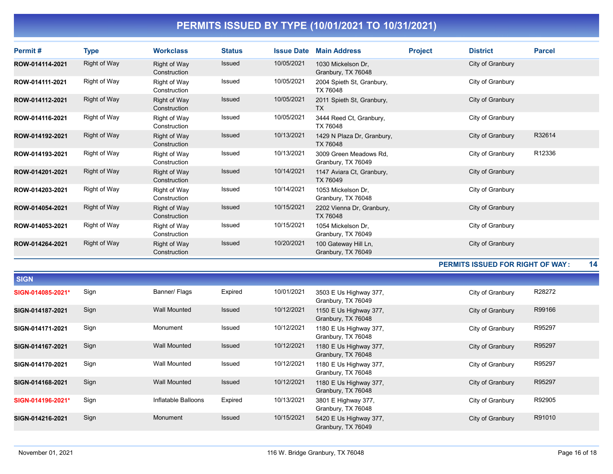| <b>Permit#</b>  | Type                | <b>Workclass</b>             | <b>Status</b> | <b>Issue Date</b> | <b>Main Address</b>                          | <b>Project</b> | <b>District</b>  | <b>Parcel</b> |
|-----------------|---------------------|------------------------------|---------------|-------------------|----------------------------------------------|----------------|------------------|---------------|
| ROW-014114-2021 | <b>Right of Way</b> | Right of Way<br>Construction | Issued        | 10/05/2021        | 1030 Mickelson Dr.<br>Granbury, TX 76048     |                | City of Granbury |               |
| ROW-014111-2021 | Right of Way        | Right of Way<br>Construction | Issued        | 10/05/2021        | 2004 Spieth St, Granbury,<br>TX 76048        |                | City of Granbury |               |
| ROW-014112-2021 | Right of Way        | Right of Way<br>Construction | Issued        | 10/05/2021        | 2011 Spieth St, Granbury,<br><b>TX</b>       |                | City of Granbury |               |
| ROW-014116-2021 | Right of Way        | Right of Way<br>Construction | Issued        | 10/05/2021        | 3444 Reed Ct, Granbury,<br>TX 76048          |                | City of Granbury |               |
| ROW-014192-2021 | Right of Way        | Right of Way<br>Construction | Issued        | 10/13/2021        | 1429 N Plaza Dr, Granbury,<br>TX 76048       |                | City of Granbury | R32614        |
| ROW-014193-2021 | Right of Way        | Right of Way<br>Construction | Issued        | 10/13/2021        | 3009 Green Meadows Rd,<br>Granbury, TX 76049 |                | City of Granbury | R12336        |
| ROW-014201-2021 | Right of Way        | Right of Way<br>Construction | Issued        | 10/14/2021        | 1147 Aviara Ct, Granbury,<br>TX 76049        |                | City of Granbury |               |
| ROW-014203-2021 | Right of Way        | Right of Way<br>Construction | Issued        | 10/14/2021        | 1053 Mickelson Dr,<br>Granbury, TX 76048     |                | City of Granbury |               |
| ROW-014054-2021 | Right of Way        | Right of Way<br>Construction | Issued        | 10/15/2021        | 2202 Vienna Dr, Granbury,<br>TX 76048        |                | City of Granbury |               |
| ROW-014053-2021 | Right of Way        | Right of Way<br>Construction | Issued        | 10/15/2021        | 1054 Mickelson Dr.<br>Granbury, TX 76049     |                | City of Granbury |               |
| ROW-014264-2021 | <b>Right of Way</b> | Right of Way<br>Construction | Issued        | 10/20/2021        | 100 Gateway Hill Ln,<br>Granbury, TX 76049   |                | City of Granbury |               |

#### PERMITS ISSUED FOR RIGHT OF WAY : 14

| <b>SIGN</b>       |      |                     |               |            |                                              |                  |        |
|-------------------|------|---------------------|---------------|------------|----------------------------------------------|------------------|--------|
| SIGN-014085-2021* | Sign | Banner/ Flags       | Expired       | 10/01/2021 | 3503 E Us Highway 377,<br>Granbury, TX 76049 | City of Granbury | R28272 |
| SIGN-014187-2021  | Sign | <b>Wall Mounted</b> | <b>Issued</b> | 10/12/2021 | 1150 E Us Highway 377,<br>Granbury, TX 76048 | City of Granbury | R99166 |
| SIGN-014171-2021  | Sign | Monument            | Issued        | 10/12/2021 | 1180 E Us Highway 377,<br>Granbury, TX 76048 | City of Granbury | R95297 |
| SIGN-014167-2021  | Sign | <b>Wall Mounted</b> | Issued        | 10/12/2021 | 1180 E Us Highway 377,<br>Granbury, TX 76048 | City of Granbury | R95297 |
| SIGN-014170-2021  | Sign | <b>Wall Mounted</b> | Issued        | 10/12/2021 | 1180 E Us Highway 377,<br>Granbury, TX 76048 | City of Granbury | R95297 |
| SIGN-014168-2021  | Sign | <b>Wall Mounted</b> | <b>Issued</b> | 10/12/2021 | 1180 E Us Highway 377,<br>Granbury, TX 76048 | City of Granbury | R95297 |
| SIGN-014196-2021* | Sign | Inflatable Balloons | Expired       | 10/13/2021 | 3801 E Highway 377,<br>Granbury, TX 76048    | City of Granbury | R92905 |
| SIGN-014216-2021  | Sign | Monument            | <b>Issued</b> | 10/15/2021 | 5420 E Us Highway 377,<br>Granbury, TX 76049 | City of Granbury | R91010 |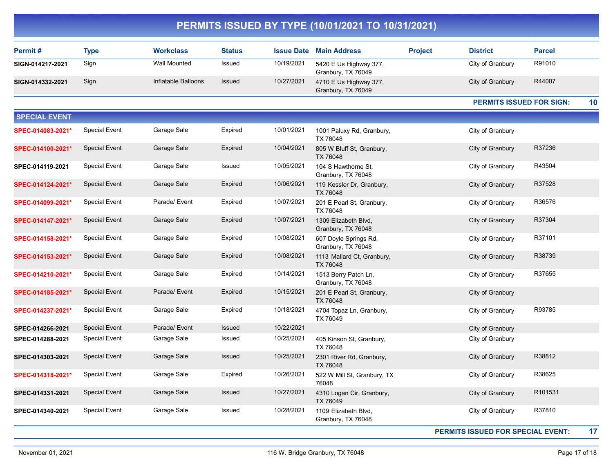| PERMITS ISSUED BY TYPE (10/01/2021 TO 10/31/2021) |                      |                     |               |                   |                                               |                |                                 |               |    |  |
|---------------------------------------------------|----------------------|---------------------|---------------|-------------------|-----------------------------------------------|----------------|---------------------------------|---------------|----|--|
| Permit#                                           | <b>Type</b>          | <b>Workclass</b>    | <b>Status</b> | <b>Issue Date</b> | <b>Main Address</b>                           | <b>Project</b> | <b>District</b>                 | <b>Parcel</b> |    |  |
| SIGN-014217-2021                                  | Sign                 | <b>Wall Mounted</b> | Issued        | 10/19/2021        | 5420 E Us Highway 377,<br>Granbury, TX 76049  |                | City of Granbury                | R91010        |    |  |
| SIGN-014332-2021                                  | Sign                 | Inflatable Balloons | Issued        | 10/27/2021        | 4710 E Us Highway 377,<br>Granbury, TX 76049  |                | City of Granbury                | R44007        |    |  |
|                                                   |                      |                     |               |                   |                                               |                | <b>PERMITS ISSUED FOR SIGN:</b> |               | 10 |  |
| <b>SPECIAL EVENT</b>                              |                      |                     |               |                   |                                               |                |                                 |               |    |  |
| SPEC-014083-2021*                                 | <b>Special Event</b> | Garage Sale         | Expired       | 10/01/2021        | 1001 Paluxy Rd, Granbury,<br>TX 76048         |                | City of Granbury                |               |    |  |
| SPEC-014100-2021*                                 | <b>Special Event</b> | Garage Sale         | Expired       | 10/04/2021        | 805 W Bluff St, Granbury,<br>TX 76048         |                | City of Granbury                | R37236        |    |  |
| SPEC-014119-2021                                  | <b>Special Event</b> | Garage Sale         | Issued        | 10/05/2021        | 104 S Hawthorne St,<br>Granbury, TX 76048     |                | City of Granbury                | R43504        |    |  |
| SPEC-014124-2021*                                 | <b>Special Event</b> | Garage Sale         | Expired       | 10/06/2021        | 119 Kessler Dr, Granbury,<br>TX 76048         |                | City of Granbury                | R37528        |    |  |
| SPEC-014099-2021*                                 | <b>Special Event</b> | Parade/ Event       | Expired       | 10/07/2021        | 201 E Pearl St, Granbury,<br>TX 76048         |                | City of Granbury                | R36576        |    |  |
| SPEC-014147-2021*                                 | <b>Special Event</b> | Garage Sale         | Expired       | 10/07/2021        | 1309 Elizabeth Blvd,<br>Granbury, TX 76048    |                | City of Granbury                | R37304        |    |  |
| SPEC-014158-2021*                                 | <b>Special Event</b> | Garage Sale         | Expired       | 10/08/2021        | 607 Doyle Springs Rd,<br>Granbury, TX 76048   |                | City of Granbury                | R37101        |    |  |
| SPEC-014153-2021*                                 | <b>Special Event</b> | Garage Sale         | Expired       | 10/08/2021        | 1113 Mallard Ct, Granbury,<br><b>TX 76048</b> |                | City of Granbury                | R38739        |    |  |
| SPEC-014210-2021*                                 | <b>Special Event</b> | Garage Sale         | Expired       | 10/14/2021        | 1513 Berry Patch Ln,<br>Granbury, TX 76048    |                | City of Granbury                | R37655        |    |  |
| SPEC-014185-2021*                                 | <b>Special Event</b> | Parade/ Event       | Expired       | 10/15/2021        | 201 E Pearl St, Granbury,<br>TX 76048         |                | City of Granbury                |               |    |  |
| SPEC-014237-2021*                                 | <b>Special Event</b> | Garage Sale         | Expired       | 10/18/2021        | 4704 Topaz Ln, Granbury,<br>TX 76049          |                | City of Granbury                | R93785        |    |  |
| SPEC-014266-2021                                  | <b>Special Event</b> | Parade/ Event       | Issued        | 10/22/2021        |                                               |                | City of Granbury                |               |    |  |
| SPEC-014288-2021                                  | <b>Special Event</b> | Garage Sale         | Issued        | 10/25/2021        | 405 Kinson St, Granbury,<br>TX 76048          |                | City of Granbury                |               |    |  |
| SPEC-014303-2021                                  | <b>Special Event</b> | Garage Sale         | Issued        | 10/25/2021        | 2301 River Rd, Granbury,<br>TX 76048          |                | City of Granbury                | R38812        |    |  |
| SPEC-014318-2021*                                 | <b>Special Event</b> | Garage Sale         | Expired       | 10/26/2021        | 522 W Mill St, Granbury, TX<br>76048          |                | City of Granbury                | R38625        |    |  |
| SPEC-014331-2021                                  | <b>Special Event</b> | Garage Sale         | Issued        | 10/27/2021        | 4310 Logan Cir, Granbury,<br>TX 76049         |                | City of Granbury                | R101531       |    |  |
| SPEC-014340-2021                                  | <b>Special Event</b> | Garage Sale         | Issued        | 10/28/2021        | 1109 Elizabeth Blvd,<br>Granbury, TX 76048    |                | City of Granbury                | R37810        |    |  |

PERMITS ISSUED FOR SPECIAL EVENT: 17